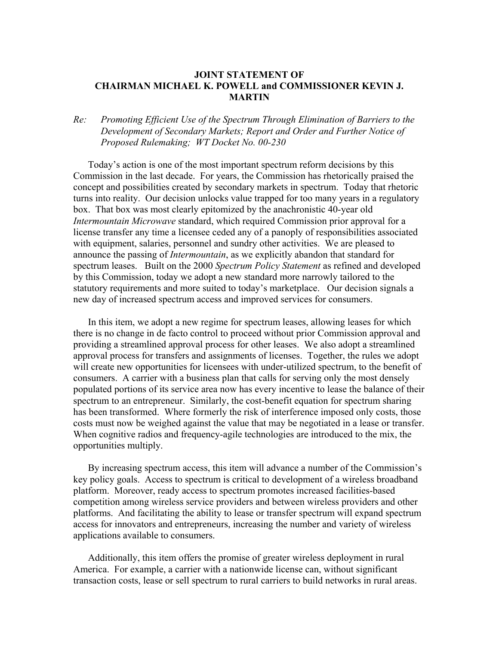## **JOINT STATEMENT OF CHAIRMAN MICHAEL K. POWELL and COMMISSIONER KEVIN J. MARTIN**

## *Re: Promoting Efficient Use of the Spectrum Through Elimination of Barriers to the Development of Secondary Markets; Report and Order and Further Notice of Proposed Rulemaking; WT Docket No. 00-230*

Today's action is one of the most important spectrum reform decisions by this Commission in the last decade. For years, the Commission has rhetorically praised the concept and possibilities created by secondary markets in spectrum. Today that rhetoric turns into reality. Our decision unlocks value trapped for too many years in a regulatory box. That box was most clearly epitomized by the anachronistic 40-year old *Intermountain Microwave* standard, which required Commission prior approval for a license transfer any time a licensee ceded any of a panoply of responsibilities associated with equipment, salaries, personnel and sundry other activities. We are pleased to announce the passing of *Intermountain*, as we explicitly abandon that standard for spectrum leases. Built on the 2000 *Spectrum Policy Statement* as refined and developed by this Commission, today we adopt a new standard more narrowly tailored to the statutory requirements and more suited to today's marketplace. Our decision signals a new day of increased spectrum access and improved services for consumers.

In this item, we adopt a new regime for spectrum leases, allowing leases for which there is no change in de facto control to proceed without prior Commission approval and providing a streamlined approval process for other leases. We also adopt a streamlined approval process for transfers and assignments of licenses. Together, the rules we adopt will create new opportunities for licensees with under-utilized spectrum, to the benefit of consumers. A carrier with a business plan that calls for serving only the most densely populated portions of its service area now has every incentive to lease the balance of their spectrum to an entrepreneur. Similarly, the cost-benefit equation for spectrum sharing has been transformed. Where formerly the risk of interference imposed only costs, those costs must now be weighed against the value that may be negotiated in a lease or transfer. When cognitive radios and frequency-agile technologies are introduced to the mix, the opportunities multiply.

By increasing spectrum access, this item will advance a number of the Commission's key policy goals. Access to spectrum is critical to development of a wireless broadband platform. Moreover, ready access to spectrum promotes increased facilities-based competition among wireless service providers and between wireless providers and other platforms. And facilitating the ability to lease or transfer spectrum will expand spectrum access for innovators and entrepreneurs, increasing the number and variety of wireless applications available to consumers.

Additionally, this item offers the promise of greater wireless deployment in rural America. For example, a carrier with a nationwide license can, without significant transaction costs, lease or sell spectrum to rural carriers to build networks in rural areas.